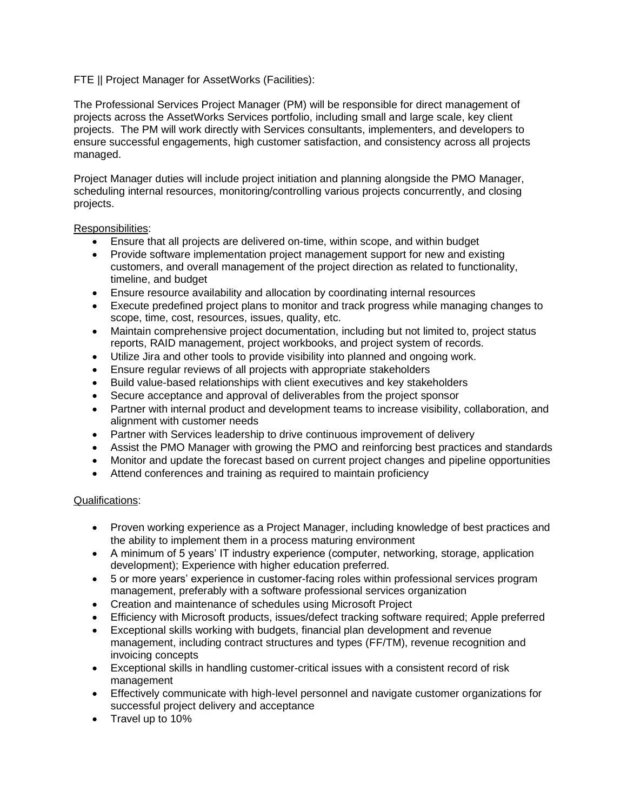## FTE || Project Manager for AssetWorks (Facilities):

The Professional Services Project Manager (PM) will be responsible for direct management of projects across the AssetWorks Services portfolio, including small and large scale, key client projects. The PM will work directly with Services consultants, implementers, and developers to ensure successful engagements, high customer satisfaction, and consistency across all projects managed.

Project Manager duties will include project initiation and planning alongside the PMO Manager, scheduling internal resources, monitoring/controlling various projects concurrently, and closing projects.

## Responsibilities:

- Ensure that all projects are delivered on-time, within scope, and within budget
- Provide software implementation project management support for new and existing customers, and overall management of the project direction as related to functionality, timeline, and budget
- Ensure resource availability and allocation by coordinating internal resources
- Execute predefined project plans to monitor and track progress while managing changes to scope, time, cost, resources, issues, quality, etc.
- Maintain comprehensive project documentation, including but not limited to, project status reports, RAID management, project workbooks, and project system of records.
- Utilize Jira and other tools to provide visibility into planned and ongoing work.
- Ensure regular reviews of all projects with appropriate stakeholders
- Build value-based relationships with client executives and key stakeholders
- Secure acceptance and approval of deliverables from the project sponsor
- Partner with internal product and development teams to increase visibility, collaboration, and alignment with customer needs
- Partner with Services leadership to drive continuous improvement of delivery
- Assist the PMO Manager with growing the PMO and reinforcing best practices and standards
- Monitor and update the forecast based on current project changes and pipeline opportunities
- Attend conferences and training as required to maintain proficiency

## Qualifications:

- Proven working experience as a Project Manager, including knowledge of best practices and the ability to implement them in a process maturing environment
- A minimum of 5 years' IT industry experience (computer, networking, storage, application development); Experience with higher education preferred.
- 5 or more years' experience in customer-facing roles within professional services program management, preferably with a software professional services organization
- Creation and maintenance of schedules using Microsoft Project
- Efficiency with Microsoft products, issues/defect tracking software required; Apple preferred
- Exceptional skills working with budgets, financial plan development and revenue management, including contract structures and types (FF/TM), revenue recognition and invoicing concepts
- Exceptional skills in handling customer-critical issues with a consistent record of risk management
- Effectively communicate with high-level personnel and navigate customer organizations for successful project delivery and acceptance
- Travel up to 10%